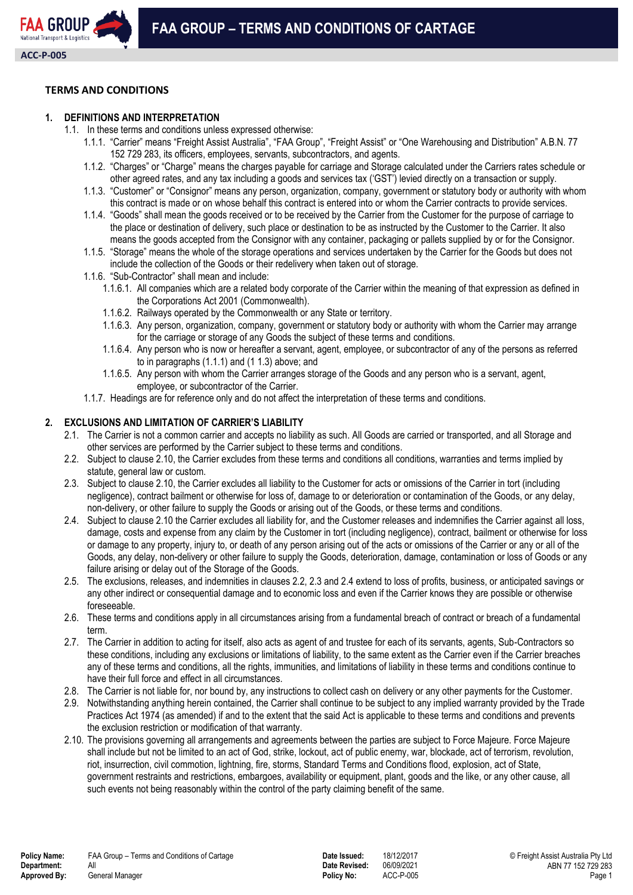# **TERMS AND CONDITIONS**

# **1. DEFINITIONS AND INTERPRETATION**

- 1.1. In these terms and conditions unless expressed otherwise:
	- 1.1.1. "Carrier" means "Freight Assist Australia", "FAA Group", "Freight Assist" or "One Warehousing and Distribution" A.B.N. 77 152 729 283, its officers, employees, servants, subcontractors, and agents.
	- 1.1.2. "Charges" or "Charge" means the charges payable for carriage and Storage calculated under the Carriers rates schedule or other agreed rates, and any tax including a goods and services tax ('GST') levied directly on a transaction or supply.
	- 1.1.3. "Customer" or "Consignor" means any person, organization, company, government or statutory body or authority with whom this contract is made or on whose behalf this contract is entered into or whom the Carrier contracts to provide services.
	- 1.1.4. "Goods" shall mean the goods received or to be received by the Carrier from the Customer for the purpose of carriage to the place or destination of delivery, such place or destination to be as instructed by the Customer to the Carrier. It also means the goods accepted from the Consignor with any container, packaging or pallets supplied by or for the Consignor.
	- 1.1.5. "Storage" means the whole of the storage operations and services undertaken by the Carrier for the Goods but does not include the collection of the Goods or their redelivery when taken out of storage.
	- 1.1.6. "Sub-Contractor" shall mean and include:
		- 1.1.6.1. All companies which are a related body corporate of the Carrier within the meaning of that expression as defined in the Corporations Act 2001 (Commonwealth).
		- 1.1.6.2. Railways operated by the Commonwealth or any State or territory.
		- 1.1.6.3. Any person, organization, company, government or statutory body or authority with whom the Carrier may arrange for the carriage or storage of any Goods the subject of these terms and conditions.
		- 1.1.6.4. Any person who is now or hereafter a servant, agent, employee, or subcontractor of any of the persons as referred to in paragraphs (1.1.1) and (1 1.3) above; and
		- 1.1.6.5. Any person with whom the Carrier arranges storage of the Goods and any person who is a servant, agent, employee, or subcontractor of the Carrier.
	- 1.1.7. Headings are for reference only and do not affect the interpretation of these terms and conditions.

## **2. EXCLUSIONS AND LIMITATION OF CARRIER'S LIABILITY**

- 2.1. The Carrier is not a common carrier and accepts no liability as such. All Goods are carried or transported, and all Storage and other services are performed by the Carrier subject to these terms and conditions.
- 2.2. Subject to clause 2.10, the Carrier excludes from these terms and conditions all conditions, warranties and terms implied by statute, general law or custom.
- 2.3. Subject to clause 2.10, the Carrier excludes all liability to the Customer for acts or omissions of the Carrier in tort (including negligence), contract bailment or otherwise for loss of, damage to or deterioration or contamination of the Goods, or any delay, non-delivery, or other failure to supply the Goods or arising out of the Goods, or these terms and conditions.
- 2.4. Subject to clause 2.10 the Carrier excludes all liability for, and the Customer releases and indemnifies the Carrier against all loss, damage, costs and expense from any claim by the Customer in tort (including negligence), contract, bailment or otherwise for loss or damage to any property, injury to, or death of any person arising out of the acts or omissions of the Carrier or any or all of the Goods, any delay, non-delivery or other failure to supply the Goods, deterioration, damage, contamination or loss of Goods or any failure arising or delay out of the Storage of the Goods.
- 2.5. The exclusions, releases, and indemnities in clauses 2.2, 2.3 and 2.4 extend to loss of profits, business, or anticipated savings or any other indirect or consequential damage and to economic loss and even if the Carrier knows they are possible or otherwise foreseeable.
- 2.6. These terms and conditions apply in all circumstances arising from a fundamental breach of contract or breach of a fundamental term.
- 2.7. The Carrier in addition to acting for itself, also acts as agent of and trustee for each of its servants, agents, Sub-Contractors so these conditions, including any exclusions or limitations of liability, to the same extent as the Carrier even if the Carrier breaches any of these terms and conditions, all the rights, immunities, and limitations of liability in these terms and conditions continue to have their full force and effect in all circumstances.
- 2.8. The Carrier is not liable for, nor bound by, any instructions to collect cash on delivery or any other payments for the Customer.
- 2.9. Notwithstanding anything herein contained, the Carrier shall continue to be subject to any implied warranty provided by the Trade Practices Act 1974 (as amended) if and to the extent that the said Act is applicable to these terms and conditions and prevents the exclusion restriction or modification of that warranty.
- 2.10. The provisions governing all arrangements and agreements between the parties are subject to Force Majeure. Force Majeure shall include but not be limited to an act of God, strike, lockout, act of public enemy, war, blockade, act of terrorism, revolution, riot, insurrection, civil commotion, lightning, fire, storms, Standard Terms and Conditions flood, explosion, act of State, government restraints and restrictions, embargoes, availability or equipment, plant, goods and the like, or any other cause, all such events not being reasonably within the control of the party claiming benefit of the same.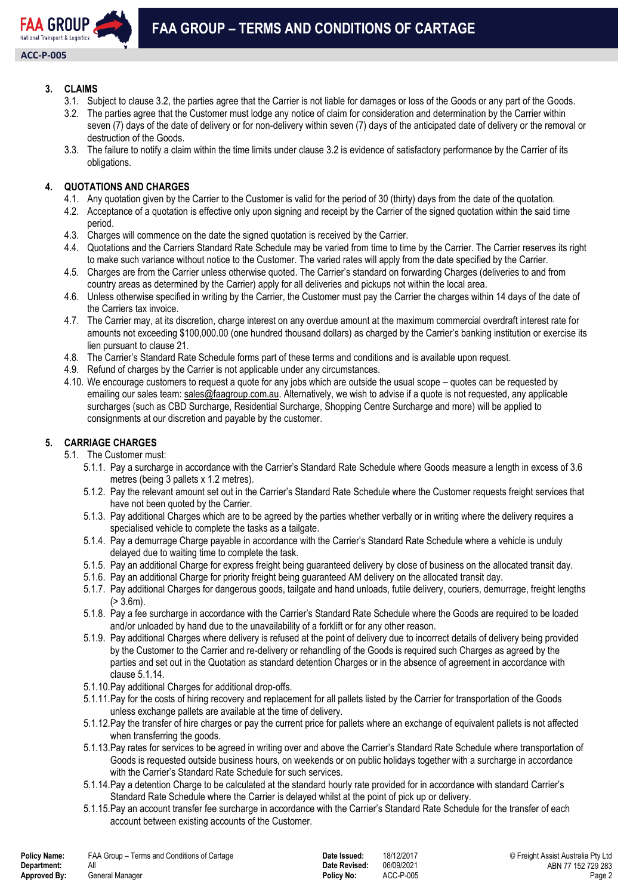

# **3. CLAIMS**

- 3.1. Subject to clause 3.2, the parties agree that the Carrier is not liable for damages or loss of the Goods or any part of the Goods.
- 3.2. The parties agree that the Customer must lodge any notice of claim for consideration and determination by the Carrier within seven (7) days of the date of delivery or for non-delivery within seven (7) days of the anticipated date of delivery or the removal or destruction of the Goods.
- 3.3. The failure to notify a claim within the time limits under clause 3.2 is evidence of satisfactory performance by the Carrier of its obligations.

# **4. QUOTATIONS AND CHARGES**

- 4.1. Any quotation given by the Carrier to the Customer is valid for the period of 30 (thirty) days from the date of the quotation.
- 4.2. Acceptance of a quotation is effective only upon signing and receipt by the Carrier of the signed quotation within the said time period.
- 4.3. Charges will commence on the date the signed quotation is received by the Carrier.
- 4.4. Quotations and the Carriers Standard Rate Schedule may be varied from time to time by the Carrier. The Carrier reserves its right to make such variance without notice to the Customer. The varied rates will apply from the date specified by the Carrier.
- 4.5. Charges are from the Carrier unless otherwise quoted. The Carrier's standard on forwarding Charges (deliveries to and from country areas as determined by the Carrier) apply for all deliveries and pickups not within the local area.
- 4.6. Unless otherwise specified in writing by the Carrier, the Customer must pay the Carrier the charges within 14 days of the date of the Carriers tax invoice.
- 4.7. The Carrier may, at its discretion, charge interest on any overdue amount at the maximum commercial overdraft interest rate for amounts not exceeding \$100,000.00 (one hundred thousand dollars) as charged by the Carrier's banking institution or exercise its lien pursuant to clause 21.
- 4.8. The Carrier's Standard Rate Schedule forms part of these terms and conditions and is available upon request.
- 4.9. Refund of charges by the Carrier is not applicable under any circumstances.
- 4.10. We encourage customers to request a quote for any jobs which are outside the usual scope quotes can be requested by emailing our sales team: [sales@faagroup.com.au.](mailto:sales@faagroup.com.au) Alternatively, we wish to advise if a quote is not requested, any applicable surcharges (such as CBD Surcharge, Residential Surcharge, Shopping Centre Surcharge and more) will be applied to consignments at our discretion and payable by the customer.

# **5. CARRIAGE CHARGES**

- 5.1. The Customer must:
	- 5.1.1. Pay a surcharge in accordance with the Carrier's Standard Rate Schedule where Goods measure a length in excess of 3.6 metres (being 3 pallets x 1.2 metres).
	- 5.1.2. Pay the relevant amount set out in the Carrier's Standard Rate Schedule where the Customer requests freight services that have not been quoted by the Carrier.
	- 5.1.3. Pay additional Charges which are to be agreed by the parties whether verbally or in writing where the delivery requires a specialised vehicle to complete the tasks as a tailgate.
	- 5.1.4. Pay a demurrage Charge payable in accordance with the Carrier's Standard Rate Schedule where a vehicle is unduly delayed due to waiting time to complete the task.
	- 5.1.5. Pay an additional Charge for express freight being guaranteed delivery by close of business on the allocated transit day.
	- 5.1.6. Pay an additional Charge for priority freight being guaranteed AM delivery on the allocated transit day.
	- 5.1.7. Pay additional Charges for dangerous goods, tailgate and hand unloads, futile delivery, couriers, demurrage, freight lengths  $(> 3.6m)$ .
	- 5.1.8. Pay a fee surcharge in accordance with the Carrier's Standard Rate Schedule where the Goods are required to be loaded and/or unloaded by hand due to the unavailability of a forklift or for any other reason.
	- 5.1.9. Pay additional Charges where delivery is refused at the point of delivery due to incorrect details of delivery being provided by the Customer to the Carrier and re-delivery or rehandling of the Goods is required such Charges as agreed by the parties and set out in the Quotation as standard detention Charges or in the absence of agreement in accordance with clause 5.1.14.
	- 5.1.10.Pay additional Charges for additional drop-offs.
	- 5.1.11.Pay for the costs of hiring recovery and replacement for all pallets listed by the Carrier for transportation of the Goods unless exchange pallets are available at the time of delivery.
	- 5.1.12.Pay the transfer of hire charges or pay the current price for pallets where an exchange of equivalent pallets is not affected when transferring the goods.
	- 5.1.13.Pay rates for services to be agreed in writing over and above the Carrier's Standard Rate Schedule where transportation of Goods is requested outside business hours, on weekends or on public holidays together with a surcharge in accordance with the Carrier's Standard Rate Schedule for such services.
	- 5.1.14.Pay a detention Charge to be calculated at the standard hourly rate provided for in accordance with standard Carrier's Standard Rate Schedule where the Carrier is delayed whilst at the point of pick up or delivery.
	- 5.1.15.Pay an account transfer fee surcharge in accordance with the Carrier's Standard Rate Schedule for the transfer of each account between existing accounts of the Customer.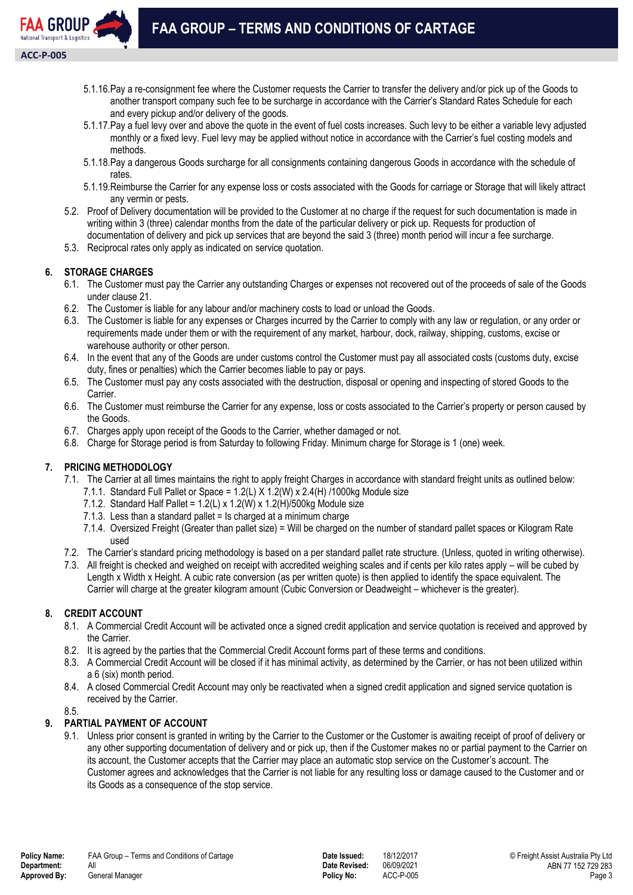

- 5.1.16.Pay a re-consignment fee where the Customer requests the Carrier to transfer the delivery and/or pick up of the Goods to another transport company such fee to be surcharge in accordance with the Carrier's Standard Rates Schedule for each and every pickup and/or delivery of the goods.
- 5.1.17.Pay a fuel levy over and above the quote in the event of fuel costs increases. Such levy to be either a variable levy adjusted monthly or a fixed levy. Fuel levy may be applied without notice in accordance with the Carrier's fuel costing models and methods.
- 5.1.18.Pay a dangerous Goods surcharge for all consignments containing dangerous Goods in accordance with the schedule of rates.
- 5.1.19.Reimburse the Carrier for any expense loss or costs associated with the Goods for carriage or Storage that will likely attract any vermin or pests.
- 5.2. Proof of Delivery documentation will be provided to the Customer at no charge if the request for such documentation is made in writing within 3 (three) calendar months from the date of the particular delivery or pick up. Requests for production of documentation of delivery and pick up services that are beyond the said 3 (three) month period will incur a fee surcharge.
- 5.3. Reciprocal rates only apply as indicated on service quotation.

## **6. STORAGE CHARGES**

- 6.1. The Customer must pay the Carrier any outstanding Charges or expenses not recovered out of the proceeds of sale of the Goods under clause 21.
- 6.2. The Customer is liable for any labour and/or machinery costs to load or unload the Goods.
- 6.3. The Customer is liable for any expenses or Charges incurred by the Carrier to comply with any law or regulation, or any order or requirements made under them or with the requirement of any market, harbour, dock, railway, shipping, customs, excise or warehouse authority or other person.
- 6.4. In the event that any of the Goods are under customs control the Customer must pay all associated costs (customs duty, excise duty, fines or penalties) which the Carrier becomes liable to pay or pays.
- 6.5. The Customer must pay any costs associated with the destruction, disposal or opening and inspecting of stored Goods to the Carrier.
- 6.6. The Customer must reimburse the Carrier for any expense, loss or costs associated to the Carrier's property or person caused by the Goods.
- 6.7. Charges apply upon receipt of the Goods to the Carrier, whether damaged or not.
- 6.8. Charge for Storage period is from Saturday to following Friday. Minimum charge for Storage is 1 (one) week.

# **7. PRICING METHODOLOGY**

- 7.1. The Carrier at all times maintains the right to apply freight Charges in accordance with standard freight units as outlined below:
	- 7.1.1. Standard Full Pallet or Space = 1.2(L) X 1.2(W) x 2.4(H) /1000kg Module size
	- 7.1.2. Standard Half Pallet =  $1.2(L)$  x 1.2(W) x 1.2(H)/500kg Module size
	- 7.1.3. Less than a standard pallet = Is charged at a minimum charge
	- 7.1.4. Oversized Freight (Greater than pallet size) = Will be charged on the number of standard pallet spaces or Kilogram Rate used
- 7.2. The Carrier's standard pricing methodology is based on a per standard pallet rate structure. (Unless, quoted in writing otherwise).
- 7.3. All freight is checked and weighed on receipt with accredited weighing scales and if cents per kilo rates apply will be cubed by Length x Width x Height. A cubic rate conversion (as per written quote) is then applied to identify the space equivalent. The Carrier will charge at the greater kilogram amount (Cubic Conversion or Deadweight – whichever is the greater).

#### **8. CREDIT ACCOUNT**

- 8.1. A Commercial Credit Account will be activated once a signed credit application and service quotation is received and approved by the Carrier.
- 8.2. It is agreed by the parties that the Commercial Credit Account forms part of these terms and conditions.
- 8.3. A Commercial Credit Account will be closed if it has minimal activity, as determined by the Carrier, or has not been utilized within a 6 (six) month period.
- 8.4. A closed Commercial Credit Account may only be reactivated when a signed credit application and signed service quotation is received by the Carrier.

8.5.

# **9. PARTIAL PAYMENT OF ACCOUNT**

9.1. Unless prior consent is granted in writing by the Carrier to the Customer or the Customer is awaiting receipt of proof of delivery or any other supporting documentation of delivery and or pick up, then if the Customer makes no or partial payment to the Carrier on its account, the Customer accepts that the Carrier may place an automatic stop service on the Customer's account. The Customer agrees and acknowledges that the Carrier is not liable for any resulting loss or damage caused to the Customer and or its Goods as a consequence of the stop service.

**Date Revised:**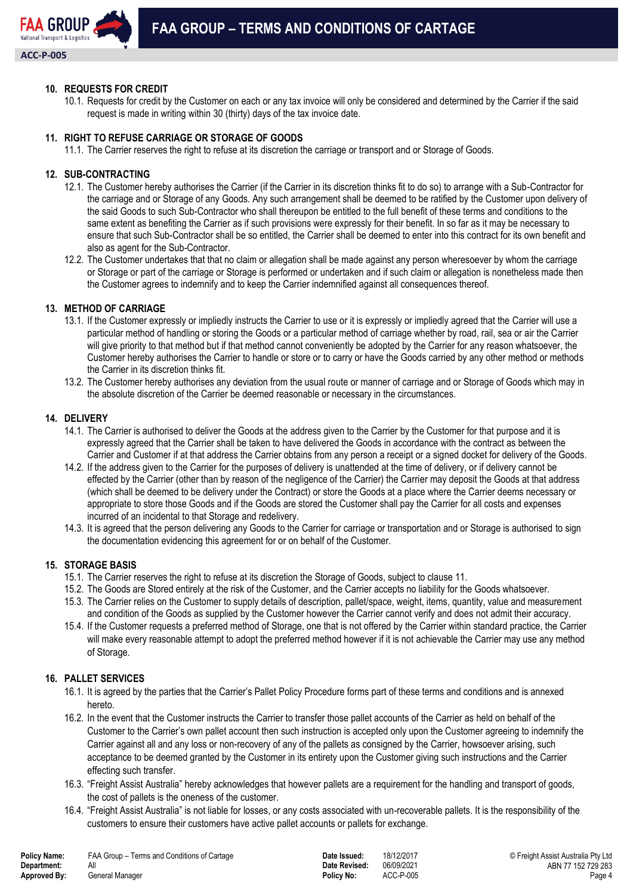

## **10. REQUESTS FOR CREDIT**

10.1. Requests for credit by the Customer on each or any tax invoice will only be considered and determined by the Carrier if the said request is made in writing within 30 (thirty) days of the tax invoice date.

## **11. RIGHT TO REFUSE CARRIAGE OR STORAGE OF GOODS**

11.1. The Carrier reserves the right to refuse at its discretion the carriage or transport and or Storage of Goods.

#### **12. SUB-CONTRACTING**

- 12.1. The Customer hereby authorises the Carrier (if the Carrier in its discretion thinks fit to do so) to arrange with a Sub-Contractor for the carriage and or Storage of any Goods. Any such arrangement shall be deemed to be ratified by the Customer upon delivery of the said Goods to such Sub-Contractor who shall thereupon be entitled to the full benefit of these terms and conditions to the same extent as benefiting the Carrier as if such provisions were expressly for their benefit. In so far as it may be necessary to ensure that such Sub-Contractor shall be so entitled, the Carrier shall be deemed to enter into this contract for its own benefit and also as agent for the Sub-Contractor.
- 12.2. The Customer undertakes that that no claim or allegation shall be made against any person wheresoever by whom the carriage or Storage or part of the carriage or Storage is performed or undertaken and if such claim or allegation is nonetheless made then the Customer agrees to indemnify and to keep the Carrier indemnified against all consequences thereof.

## **13. METHOD OF CARRIAGE**

- 13.1. If the Customer expressly or impliedly instructs the Carrier to use or it is expressly or impliedly agreed that the Carrier will use a particular method of handling or storing the Goods or a particular method of carriage whether by road, rail, sea or air the Carrier will give priority to that method but if that method cannot conveniently be adopted by the Carrier for any reason whatsoever, the Customer hereby authorises the Carrier to handle or store or to carry or have the Goods carried by any other method or methods the Carrier in its discretion thinks fit.
- 13.2. The Customer hereby authorises any deviation from the usual route or manner of carriage and or Storage of Goods which may in the absolute discretion of the Carrier be deemed reasonable or necessary in the circumstances.

#### **14. DELIVERY**

- 14.1. The Carrier is authorised to deliver the Goods at the address given to the Carrier by the Customer for that purpose and it is expressly agreed that the Carrier shall be taken to have delivered the Goods in accordance with the contract as between the Carrier and Customer if at that address the Carrier obtains from any person a receipt or a signed docket for delivery of the Goods.
- 14.2. If the address given to the Carrier for the purposes of delivery is unattended at the time of delivery, or if delivery cannot be effected by the Carrier (other than by reason of the negligence of the Carrier) the Carrier may deposit the Goods at that address (which shall be deemed to be delivery under the Contract) or store the Goods at a place where the Carrier deems necessary or appropriate to store those Goods and if the Goods are stored the Customer shall pay the Carrier for all costs and expenses incurred of an incidental to that Storage and redelivery.
- 14.3. It is agreed that the person delivering any Goods to the Carrier for carriage or transportation and or Storage is authorised to sign the documentation evidencing this agreement for or on behalf of the Customer.

#### **15. STORAGE BASIS**

- 15.1. The Carrier reserves the right to refuse at its discretion the Storage of Goods, subject to clause 11.
- 15.2. The Goods are Stored entirely at the risk of the Customer, and the Carrier accepts no liability for the Goods whatsoever.
- 15.3. The Carrier relies on the Customer to supply details of description, pallet/space, weight, items, quantity, value and measurement and condition of the Goods as supplied by the Customer however the Carrier cannot verify and does not admit their accuracy.
- 15.4. If the Customer requests a preferred method of Storage, one that is not offered by the Carrier within standard practice, the Carrier will make every reasonable attempt to adopt the preferred method however if it is not achievable the Carrier may use any method of Storage.

#### **16. PALLET SERVICES**

- 16.1. It is agreed by the parties that the Carrier's Pallet Policy Procedure forms part of these terms and conditions and is annexed hereto.
- 16.2. In the event that the Customer instructs the Carrier to transfer those pallet accounts of the Carrier as held on behalf of the Customer to the Carrier's own pallet account then such instruction is accepted only upon the Customer agreeing to indemnify the Carrier against all and any loss or non-recovery of any of the pallets as consigned by the Carrier, howsoever arising, such acceptance to be deemed granted by the Customer in its entirety upon the Customer giving such instructions and the Carrier effecting such transfer.
- 16.3. "Freight Assist Australia" hereby acknowledges that however pallets are a requirement for the handling and transport of goods, the cost of pallets is the oneness of the customer.
- 16.4. "Freight Assist Australia" is not liable for losses, or any costs associated with un-recoverable pallets. It is the responsibility of the customers to ensure their customers have active pallet accounts or pallets for exchange.

| Policy Name: | FAA Gr |
|--------------|--------|
| Department:  | All    |
| Approved By: | Genera |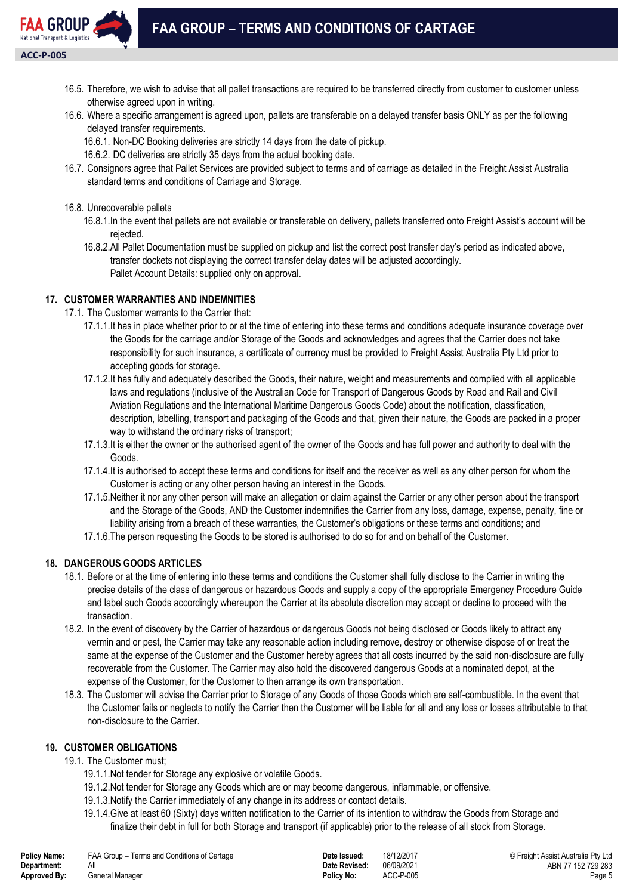

- 16.5. Therefore, we wish to advise that all pallet transactions are required to be transferred directly from customer to customer unless otherwise agreed upon in writing.
- 16.6. Where a specific arrangement is agreed upon, pallets are transferable on a delayed transfer basis ONLY as per the following delayed transfer requirements.
	- 16.6.1. Non-DC Booking deliveries are strictly 14 days from the date of pickup.
	- 16.6.2. DC deliveries are strictly 35 days from the actual booking date.
- 16.7. Consignors agree that Pallet Services are provided subject to terms and of carriage as detailed in the Freight Assist Australia standard terms and conditions of Carriage and Storage.
- 16.8. Unrecoverable pallets
	- 16.8.1.In the event that pallets are not available or transferable on delivery, pallets transferred onto Freight Assist's account will be rejected.
	- 16.8.2.All Pallet Documentation must be supplied on pickup and list the correct post transfer day's period as indicated above, transfer dockets not displaying the correct transfer delay dates will be adjusted accordingly. Pallet Account Details: supplied only on approval.

# **17. CUSTOMER WARRANTIES AND INDEMNITIES**

17.1. The Customer warrants to the Carrier that:

- 17.1.1.It has in place whether prior to or at the time of entering into these terms and conditions adequate insurance coverage over the Goods for the carriage and/or Storage of the Goods and acknowledges and agrees that the Carrier does not take responsibility for such insurance, a certificate of currency must be provided to Freight Assist Australia Pty Ltd prior to accepting goods for storage.
- 17.1.2.It has fully and adequately described the Goods, their nature, weight and measurements and complied with all applicable laws and regulations (inclusive of the Australian Code for Transport of Dangerous Goods by Road and Rail and Civil Aviation Regulations and the International Maritime Dangerous Goods Code) about the notification, classification, description, labelling, transport and packaging of the Goods and that, given their nature, the Goods are packed in a proper way to withstand the ordinary risks of transport;
- 17.1.3.It is either the owner or the authorised agent of the owner of the Goods and has full power and authority to deal with the Goods.
- 17.1.4.It is authorised to accept these terms and conditions for itself and the receiver as well as any other person for whom the Customer is acting or any other person having an interest in the Goods.
- 17.1.5.Neither it nor any other person will make an allegation or claim against the Carrier or any other person about the transport and the Storage of the Goods, AND the Customer indemnifies the Carrier from any loss, damage, expense, penalty, fine or liability arising from a breach of these warranties, the Customer's obligations or these terms and conditions; and
- 17.1.6.The person requesting the Goods to be stored is authorised to do so for and on behalf of the Customer.

# **18. DANGEROUS GOODS ARTICLES**

- 18.1. Before or at the time of entering into these terms and conditions the Customer shall fully disclose to the Carrier in writing the precise details of the class of dangerous or hazardous Goods and supply a copy of the appropriate Emergency Procedure Guide and label such Goods accordingly whereupon the Carrier at its absolute discretion may accept or decline to proceed with the transaction.
- 18.2. In the event of discovery by the Carrier of hazardous or dangerous Goods not being disclosed or Goods likely to attract any vermin and or pest, the Carrier may take any reasonable action including remove, destroy or otherwise dispose of or treat the same at the expense of the Customer and the Customer hereby agrees that all costs incurred by the said non-disclosure are fully recoverable from the Customer. The Carrier may also hold the discovered dangerous Goods at a nominated depot, at the expense of the Customer, for the Customer to then arrange its own transportation.
- 18.3. The Customer will advise the Carrier prior to Storage of any Goods of those Goods which are self-combustible. In the event that the Customer fails or neglects to notify the Carrier then the Customer will be liable for all and any loss or losses attributable to that non-disclosure to the Carrier.

# **19. CUSTOMER OBLIGATIONS**

# 19.1. The Customer must;

- 19.1.1.Not tender for Storage any explosive or volatile Goods.
- 19.1.2.Not tender for Storage any Goods which are or may become dangerous, inflammable, or offensive.
- 19.1.3.Notify the Carrier immediately of any change in its address or contact details.
- 19.1.4.Give at least 60 (Sixty) days written notification to the Carrier of its intention to withdraw the Goods from Storage and finalize their debt in full for both Storage and transport (if applicable) prior to the release of all stock from Storage.